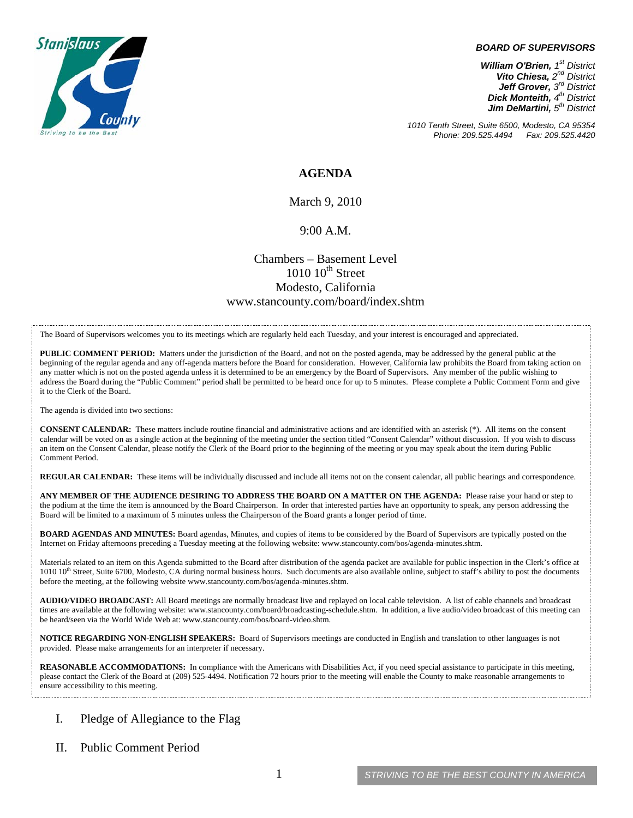

#### *BOARD OF SUPERVISORS*

*William O'Brien, 1st District Vito Chiesa, 2nd District Jeff Grover, 3rd District Dick Monteith, 4th District Jim DeMartini, 5th District*

*1010 Tenth Street, Suite 6500, Modesto, CA 95354 Phone: 209.525.4494* 

### **AGENDA**

March 9, 2010

### 9:00 A.M.

## Chambers – Basement Level  $1010$   $10^{th}$  Street Modesto, California www.stancounty.com/board/index.shtm

The Board of Supervisors welcomes you to its meetings which are regularly held each Tuesday, and your interest is encouraged and appreciated.

**PUBLIC COMMENT PERIOD:** Matters under the jurisdiction of the Board, and not on the posted agenda, may be addressed by the general public at the beginning of the regular agenda and any off-agenda matters before the Board for consideration. However, California law prohibits the Board from taking action on any matter which is not on the posted agenda unless it is determined to be an emergency by the Board of Supervisors. Any member of the public wishing to address the Board during the "Public Comment" period shall be permitted to be heard once for up to 5 minutes. Please complete a Public Comment Form and give it to the Clerk of the Board.

The agenda is divided into two sections:

**CONSENT CALENDAR:** These matters include routine financial and administrative actions and are identified with an asterisk (\*). All items on the consent calendar will be voted on as a single action at the beginning of the meeting under the section titled "Consent Calendar" without discussion. If you wish to discuss an item on the Consent Calendar, please notify the Clerk of the Board prior to the beginning of the meeting or you may speak about the item during Public Comment Period.

**REGULAR CALENDAR:** These items will be individually discussed and include all items not on the consent calendar, all public hearings and correspondence.

**ANY MEMBER OF THE AUDIENCE DESIRING TO ADDRESS THE BOARD ON A MATTER ON THE AGENDA:** Please raise your hand or step to the podium at the time the item is announced by the Board Chairperson. In order that interested parties have an opportunity to speak, any person addressing the Board will be limited to a maximum of 5 minutes unless the Chairperson of the Board grants a longer period of time.

**BOARD AGENDAS AND MINUTES:** Board agendas, Minutes, and copies of items to be considered by the Board of Supervisors are typically posted on the Internet on Friday afternoons preceding a Tuesday meeting at the following website: www.stancounty.com/bos/agenda-minutes.shtm.

Materials related to an item on this Agenda submitted to the Board after distribution of the agenda packet are available for public inspection in the Clerk's office at 1010 10<sup>th</sup> Street, Suite 6700, Modesto, CA during normal business hours. Such documents are also available online, subject to staff's ability to post the documents before the meeting, at the following website www.stancounty.com/bos/agenda-minutes.shtm.

**AUDIO/VIDEO BROADCAST:** All Board meetings are normally broadcast live and replayed on local cable television. A list of cable channels and broadcast times are available at the following website: www.stancounty.com/board/broadcasting-schedule.shtm. In addition, a live audio/video broadcast of this meeting can be heard/seen via the World Wide Web at: www.stancounty.com/bos/board-video.shtm.

**NOTICE REGARDING NON-ENGLISH SPEAKERS:** Board of Supervisors meetings are conducted in English and translation to other languages is not provided. Please make arrangements for an interpreter if necessary.

**REASONABLE ACCOMMODATIONS:** In compliance with the Americans with Disabilities Act, if you need special assistance to participate in this meeting, please contact the Clerk of the Board at (209) 525-4494. Notification 72 hours prior to the meeting will enable the County to make reasonable arrangements to ensure accessibility to this meeting.

### I. Pledge of Allegiance to the Flag

II. Public Comment Period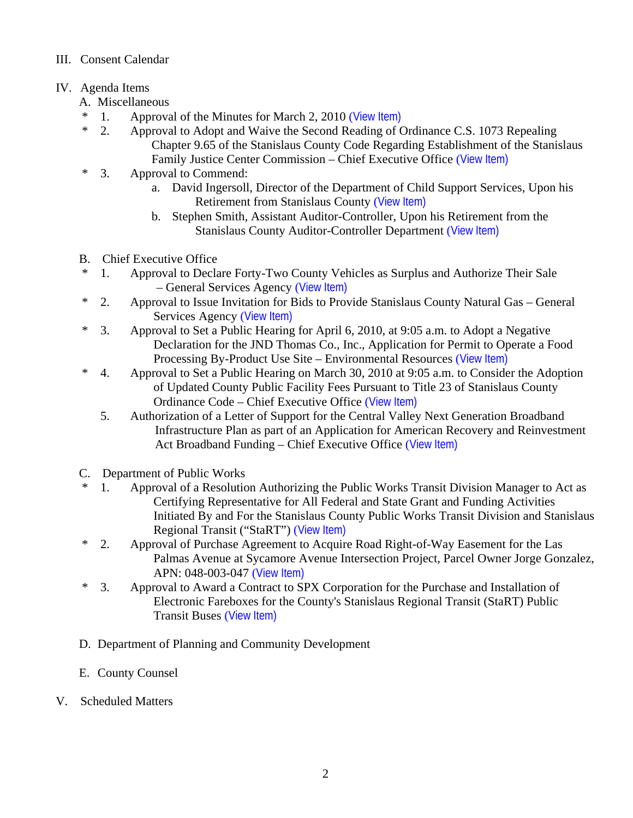## III. Consent Calendar

# IV. Agenda Items

- A. Miscellaneous
- \* 1. Approval of the Minutes for March 2, 2010 ([View Item\)](http://www.stancounty.com/bos/minutes/2010/min03-02-10.pdf)
- \* 2. Approval to Adopt and Waive the Second Reading of Ordinance C.S. 1073 Repealing Chapter 9.65 of the Stanislaus County Code Regarding Establishment of the Stanislaus Family Justice Center Commission – Chief Executive Office ([View Item\)](http://www.stancounty.com/bos/agenda/2010/20100309/A02.pdf)
- \* 3. Approval to Commend:
	- a. David Ingersoll, Director of the Department of Child Support Services, Upon his Retirement from Stanislaus County ([View Item\)](http://www.stancounty.com/bos/agenda/2010/20100309/A03a.pdf)
	- b. Stephen Smith, Assistant Auditor-Controller, Upon his Retirement from the Stanislaus County Auditor-Controller Department ([View Item\)](http://www.stancounty.com/bos/agenda/2010/20100309/A03b.pdf)
- B. Chief Executive Office
- \* 1. Approval to Declare Forty-Two County Vehicles as Surplus and Authorize Their Sale – General Services Agency ([View Item\)](http://www.stancounty.com/bos/agenda/2010/20100309/B01.pdf)
- \* 2. Approval to Issue Invitation for Bids to Provide Stanislaus County Natural Gas General Services Agency ([View Item\)](http://www.stancounty.com/bos/agenda/2010/20100309/B02.pdf)
- \* 3. Approval to Set a Public Hearing for April 6, 2010, at 9:05 a.m. to Adopt a Negative Declaration for the JND Thomas Co., Inc., Application for Permit to Operate a Food Processing By-Product Use Site – Environmental Resources ([View Item\)](http://www.stancounty.com/bos/agenda/2010/20100309/B03.pdf)
- \* 4. Approval to Set a Public Hearing on March 30, 2010 at 9:05 a.m. to Consider the Adoption of Updated County Public Facility Fees Pursuant to Title 23 of Stanislaus County Ordinance Code – Chief Executive Office ([View Item\)](http://www.stancounty.com/bos/agenda/2010/20100309/B04.pdf)
	- 5. Authorization of a Letter of Support for the Central Valley Next Generation Broadband Infrastructure Plan as part of an Application for American Recovery and Reinvestment Act Broadband Funding – Chief Executive Office ([View Item\)](http://www.stancounty.com/bos/agenda/2010/20100309/B05.pdf)
- C. Department of Public Works
- \* 1. Approval of a Resolution Authorizing the Public Works Transit Division Manager to Act as Certifying Representative for All Federal and State Grant and Funding Activities Initiated By and For the Stanislaus County Public Works Transit Division and Stanislaus Regional Transit ("StaRT") ([View Item\)](http://www.stancounty.com/bos/agenda/2010/20100309/C01.pdf)
- \* 2. Approval of Purchase Agreement to Acquire Road Right-of-Way Easement for the Las Palmas Avenue at Sycamore Avenue Intersection Project, Parcel Owner Jorge Gonzalez, APN: 048-003-047 ([View Item\)](http://www.stancounty.com/bos/agenda/2010/20100309/C02.pdf)
- \* 3. Approval to Award a Contract to SPX Corporation for the Purchase and Installation of Electronic Fareboxes for the County's Stanislaus Regional Transit (StaRT) Public Transit Buses ([View Item\)](http://www.stancounty.com/bos/agenda/2010/20100309/C03.pdf)
- D. Department of Planning and Community Development
- E. County Counsel
- V. Scheduled Matters